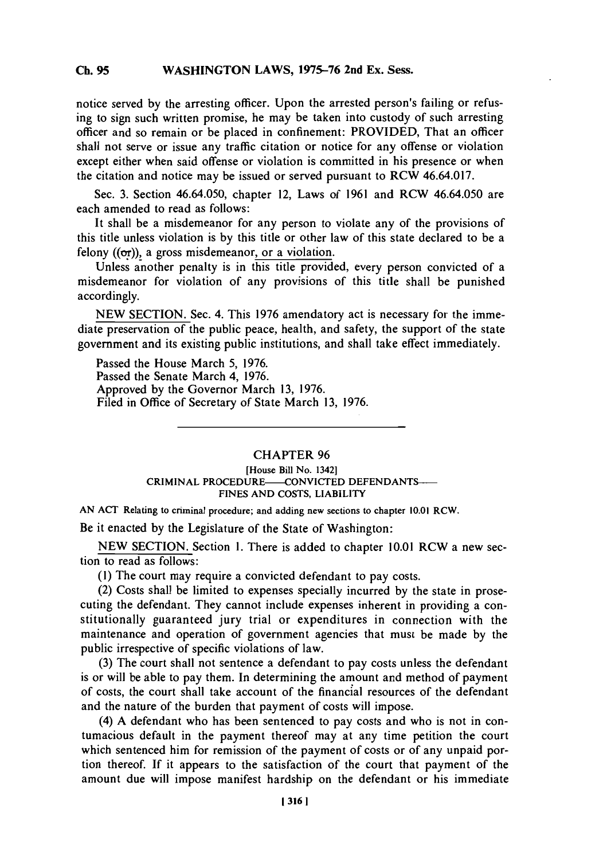## **Ch. WASHINGTON 95** LAWS, **1975-76** 2nd Ex. Sess. **Ch. 95**

notice served **by** the arresting officer. Upon the arrested person's failing or refusing to sign such written promise, he may be taken into custody of such arresting officer and so remain or be placed in confinement: PROVIDED, That an officer shall not serve or issue any traffic citation or notice for any offense or violation except either when said offense or violation is committed in his presence or when the citation and notice may be issued or served pursuant to RCW 46.64.017.

Sec. **3.** Section 46.64.050, chapter 12, Laws of **1961** and RCW 46.64.050 are each amended to read as follows:

It shall be a misdemeanor for any person to violate any of the provisions of this title unless violation is **by** this title or other law of this state declared to be a felony  $((\sigma r))$ , a gross misdemeanor, or a violation.

Unless another penalty is in this title provided, every person convicted of a misdemeanor for violation of any provisions of this title shall be punished accordingly.

**NEW SECTION.** Sec. 4. This **1976** amendatory act is necessary for the immediate preservation of the public peace, health, and safety, the support of the state government and its existing public institutions, and shall take effect immediately.

Passed the House March **5, 1976.** Passed the Senate March 4, **1976.** Approved **by** the Governor March **13, 1976.** Filed in Office of Secretary of State March **13, 1976.**

## CHAPTER **96**

## **[House Bill No. 1342]** CRIMINAL PROCEDURE- CONVICTED DEFENDANTS-**FINES AND COSTS, LIABILITY**

**AN ACT Relating to criminal procedure; and adding new sections to chapter 10.01 RCW.**

Be it enacted **by** the Legislature of the State of Washington:

**NEW SECTION.** Section **1.** There is added to chapter **10.01** RCW a new section to read as follows:

**(1)** The court may require a convicted defendant to pay costs.

(2) Costs shall be limited to expenses specially incurred **by** the state in prosecuting the defendant. They cannot include expenses inherent in providing a constitutionally guaranteed jury trial or expenditures in connection with the maintenance and operation of government agencies that must be made **by** the public irrespective of specific violations of law.

**(3)** The court shall not sentence a defendant to pay costs unless the defendant is or will be able to pay them. In determining the amount and method of payment of costs, the court shall take account of the financial resources of the defendant and the nature of the burden that payment of costs will impose.

(4) **A** defendant who has been sentenced to pay costs and who is not in contumacious default in the payment thereof may at any time petition the court which sentenced him for remission of the payment of costs or of any unpaid portion thereof. If it appears to the satisfaction of the court that payment of the amount due will impose manifest hardship on the defendant or his immediate